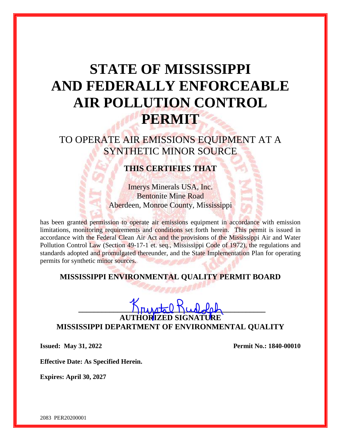# **STATE OF MISSISSIPPI AND FEDERALLY ENFORCEABLE AIR POLLUTION CONTROL PERMIT**

TO OPERATE AIR EMISSIONS EQUIPMENT AT A SYNTHETIC MINOR SOURCE

# **THIS CERTIFIES THAT**

Imerys Minerals USA, Inc. Bentonite Mine Road Aberdeen, Monroe County, Mississippi

has been granted permission to operate air emissions equipment in accordance with emission limitations, monitoring requirements and conditions set forth herein. This permit is issued in accordance with the Federal Clean Air Act and the provisions of the Mississippi Air and Water Pollution Control Law (Section 49-17-1 et. seq., Mississippi Code of 1972), the regulations and standards adopted and promulgated thereunder, and the State Implementation Plan for operating permits for synthetic minor sources.

# **MISSISSIPPI ENVIRONMENTAL QUALITY PERMIT BOARD**

## $\Gamma$ **AUTHORIZED SIGNATURE MISSISSIPPI DEPARTMENT OF ENVIRONMENTAL QUALITY**

**Issued: May 31, 2022 Permit No.: 1840-00010** 

**Effective Date: As Specified Herein.**

**Expires: April 30, 2027**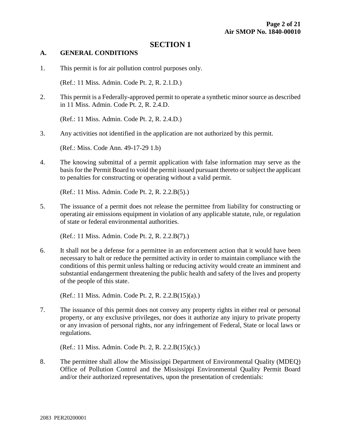## **SECTION 1**

#### **A. GENERAL CONDITIONS**

1. This permit is for air pollution control purposes only.

(Ref.: 11 Miss. Admin. Code Pt. 2, R. 2.1.D.)

2. This permit is a Federally-approved permit to operate a synthetic minor source as described in 11 Miss. Admin. Code Pt. 2, R. 2.4.D.

(Ref.: 11 Miss. Admin. Code Pt. 2, R. 2.4.D.)

3. Any activities not identified in the application are not authorized by this permit.

(Ref.: Miss. Code Ann. 49-17-29 1.b)

4. The knowing submittal of a permit application with false information may serve as the basis for the Permit Board to void the permit issued pursuant thereto or subject the applicant to penalties for constructing or operating without a valid permit.

(Ref.: 11 Miss. Admin. Code Pt. 2, R. 2.2.B(5).)

5. The issuance of a permit does not release the permittee from liability for constructing or operating air emissions equipment in violation of any applicable statute, rule, or regulation of state or federal environmental authorities.

(Ref.: 11 Miss. Admin. Code Pt. 2, R. 2.2.B(7).)

6. It shall not be a defense for a permittee in an enforcement action that it would have been necessary to halt or reduce the permitted activity in order to maintain compliance with the conditions of this permit unless halting or reducing activity would create an imminent and substantial endangerment threatening the public health and safety of the lives and property of the people of this state.

(Ref.: 11 Miss. Admin. Code Pt. 2, R. 2.2.B(15)(a).)

7. The issuance of this permit does not convey any property rights in either real or personal property, or any exclusive privileges, nor does it authorize any injury to private property or any invasion of personal rights, nor any infringement of Federal, State or local laws or regulations.

(Ref.: 11 Miss. Admin. Code Pt. 2, R. 2.2.B(15)(c).)

8. The permittee shall allow the Mississippi Department of Environmental Quality (MDEQ) Office of Pollution Control and the Mississippi Environmental Quality Permit Board and/or their authorized representatives, upon the presentation of credentials: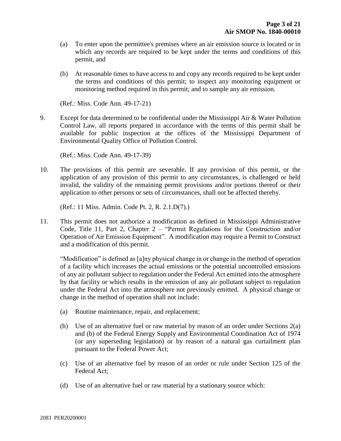- (a) To enter upon the permittee's premises where an air emission source is located or in which any records are required to be kept under the terms and conditions of this permit, and
- (b) At reasonable times to have access to and copy any records required to be kept under the terms and conditions of this permit; to inspect any monitoring equipment or monitoring method required in this permit; and to sample any air emission.

(Ref.: Miss. Code Ann. 49-17-21)

9. Except for data determined to be confidential under the Mississippi Air & Water Pollution Control Law, all reports prepared in accordance with the terms of this permit shall be available for public inspection at the offices of the Mississippi Department of Environmental Quality Office of Pollution Control.

(Ref.: Miss. Code Ann. 49-17-39)

10. The provisions of this permit are severable. If any provision of this permit, or the application of any provision of this permit to any circumstances, is challenged or held invalid, the validity of the remaining permit provisions and/or portions thereof or their application to other persons or sets of circumstances, shall not be affected thereby.

(Ref.: 11 Miss. Admin. Code Pt. 2, R. 2.1.D(7).)

11. This permit does not authorize a modification as defined in Mississippi Administrative Code, Title 11, Part 2, Chapter 2 – "Permit Regulations for the Construction and/or Operation of Air Emission Equipment". A modification may require a Permit to Construct and a modification of this permit.

"Modification" is defined as [a]ny physical change in or change in the method of operation of a facility which increases the actual emissions or the potential uncontrolled emissions of any air pollutant subject to regulation under the Federal Act emitted into the atmosphere by that facility or which results in the emission of any air pollutant subject to regulation under the Federal Act into the atmosphere not previously emitted. A physical change or change in the method of operation shall not include:

- (a) Routine maintenance, repair, and replacement;
- (b) Use of an alternative fuel or raw material by reason of an order under Sections 2(a) and (b) of the Federal Energy Supply and Environmental Coordination Act of 1974 (or any superseding legislation) or by reason of a natural gas curtailment plan pursuant to the Federal Power Act;
- (c) Use of an alternative fuel by reason of an order or rule under Section 125 of the Federal Act;
- (d) Use of an alternative fuel or raw material by a stationary source which: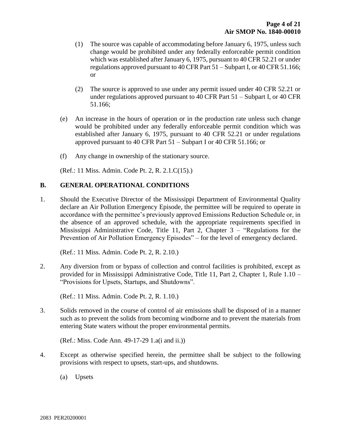- (1) The source was capable of accommodating before January 6, 1975, unless such change would be prohibited under any federally enforceable permit condition which was established after January 6, 1975, pursuant to 40 CFR 52.21 or under regulations approved pursuant to 40 CFR Part 51 – Subpart I, or 40 CFR 51.166; or
- (2) The source is approved to use under any permit issued under 40 CFR 52.21 or under regulations approved pursuant to 40 CFR Part 51 – Subpart I, or 40 CFR 51.166;
- (e) An increase in the hours of operation or in the production rate unless such change would be prohibited under any federally enforceable permit condition which was established after January 6, 1975, pursuant to 40 CFR 52.21 or under regulations approved pursuant to 40 CFR Part 51 – Subpart I or 40 CFR 51.166; or
- (f) Any change in ownership of the stationary source.

(Ref.: 11 Miss. Admin. Code Pt. 2, R. 2.1.C(15).)

#### **B. GENERAL OPERATIONAL CONDITIONS**

1. Should the Executive Director of the Mississippi Department of Environmental Quality declare an Air Pollution Emergency Episode, the permittee will be required to operate in accordance with the permittee's previously approved Emissions Reduction Schedule or, in the absence of an approved schedule, with the appropriate requirements specified in Mississippi Administrative Code, Title 11, Part 2, Chapter 3 – "Regulations for the Prevention of Air Pollution Emergency Episodes" – for the level of emergency declared.

(Ref.: 11 Miss. Admin. Code Pt. 2, R. 2.10.)

2. Any diversion from or bypass of collection and control facilities is prohibited, except as provided for in Mississippi Administrative Code, Title 11, Part 2, Chapter 1, Rule 1.10 – "Provisions for Upsets, Startups, and Shutdowns".

(Ref.: 11 Miss. Admin. Code Pt. 2, R. 1.10.)

3. Solids removed in the course of control of air emissions shall be disposed of in a manner such as to prevent the solids from becoming windborne and to prevent the materials from entering State waters without the proper environmental permits.

(Ref.: Miss. Code Ann. 49-17-29 1.a(i and ii.))

- 4. Except as otherwise specified herein, the permittee shall be subject to the following provisions with respect to upsets, start-ups, and shutdowns.
	- (a) Upsets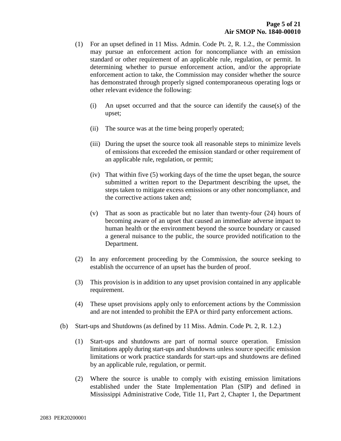- (1) For an upset defined in 11 Miss. Admin. Code Pt. 2, R. 1.2., the Commission may pursue an enforcement action for noncompliance with an emission standard or other requirement of an applicable rule, regulation, or permit. In determining whether to pursue enforcement action, and/or the appropriate enforcement action to take, the Commission may consider whether the source has demonstrated through properly signed contemporaneous operating logs or other relevant evidence the following:
	- (i) An upset occurred and that the source can identify the cause(s) of the upset;
	- (ii) The source was at the time being properly operated;
	- (iii) During the upset the source took all reasonable steps to minimize levels of emissions that exceeded the emission standard or other requirement of an applicable rule, regulation, or permit;
	- (iv) That within five (5) working days of the time the upset began, the source submitted a written report to the Department describing the upset, the steps taken to mitigate excess emissions or any other noncompliance, and the corrective actions taken and;
	- (v) That as soon as practicable but no later than twenty-four (24) hours of becoming aware of an upset that caused an immediate adverse impact to human health or the environment beyond the source boundary or caused a general nuisance to the public, the source provided notification to the Department.
- (2) In any enforcement proceeding by the Commission, the source seeking to establish the occurrence of an upset has the burden of proof.
- (3) This provision is in addition to any upset provision contained in any applicable requirement.
- (4) These upset provisions apply only to enforcement actions by the Commission and are not intended to prohibit the EPA or third party enforcement actions.
- (b) Start-ups and Shutdowns (as defined by 11 Miss. Admin. Code Pt. 2, R. 1.2.)
	- (1) Start-ups and shutdowns are part of normal source operation. Emission limitations apply during start-ups and shutdowns unless source specific emission limitations or work practice standards for start-ups and shutdowns are defined by an applicable rule, regulation, or permit.
	- (2) Where the source is unable to comply with existing emission limitations established under the State Implementation Plan (SIP) and defined in Mississippi Administrative Code, Title 11, Part 2, Chapter 1, the Department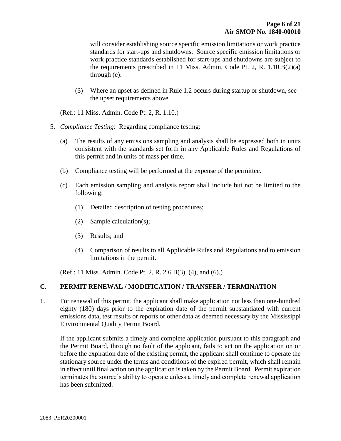will consider establishing source specific emission limitations or work practice standards for start-ups and shutdowns. Source specific emission limitations or work practice standards established for start-ups and shutdowns are subject to the requirements prescribed in 11 Miss. Admin. Code Pt. 2, R. 1.10.B(2)(a) through (e).

(3) Where an upset as defined in Rule 1.2 occurs during startup or shutdown, see the upset requirements above.

(Ref.: 11 Miss. Admin. Code Pt. 2, R. 1.10.)

- 5. *Compliance Testing*: Regarding compliance testing:
	- (a) The results of any emissions sampling and analysis shall be expressed both in units consistent with the standards set forth in any Applicable Rules and Regulations of this permit and in units of mass per time.
	- (b) Compliance testing will be performed at the expense of the permittee.
	- (c) Each emission sampling and analysis report shall include but not be limited to the following:
		- (1) Detailed description of testing procedures;
		- (2) Sample calculation(s);
		- (3) Results; and
		- (4) Comparison of results to all Applicable Rules and Regulations and to emission limitations in the permit.

(Ref.: 11 Miss. Admin. Code Pt. 2, R. 2.6.B(3), (4), and (6).)

#### **C. PERMIT RENEWAL / MODIFICATION / TRANSFER / TERMINATION**

1. For renewal of this permit, the applicant shall make application not less than one-hundred eighty (180) days prior to the expiration date of the permit substantiated with current emissions data, test results or reports or other data as deemed necessary by the Mississippi Environmental Quality Permit Board.

If the applicant submits a timely and complete application pursuant to this paragraph and the Permit Board, through no fault of the applicant, fails to act on the application on or before the expiration date of the existing permit, the applicant shall continue to operate the stationary source under the terms and conditions of the expired permit, which shall remain in effect until final action on the application is taken by the Permit Board. Permit expiration terminates the source's ability to operate unless a timely and complete renewal application has been submitted.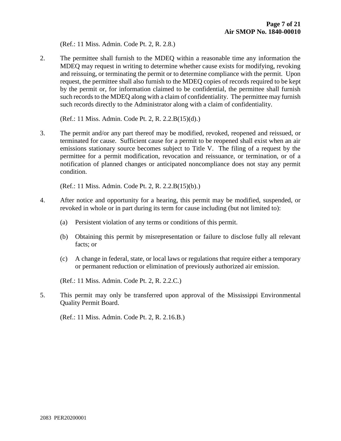(Ref.: 11 Miss. Admin. Code Pt. 2, R. 2.8.)

2. The permittee shall furnish to the MDEQ within a reasonable time any information the MDEQ may request in writing to determine whether cause exists for modifying, revoking and reissuing, or terminating the permit or to determine compliance with the permit. Upon request, the permittee shall also furnish to the MDEQ copies of records required to be kept by the permit or, for information claimed to be confidential, the permittee shall furnish such records to the MDEQ along with a claim of confidentiality. The permittee may furnish such records directly to the Administrator along with a claim of confidentiality.

(Ref.: 11 Miss. Admin. Code Pt. 2, R. 2.2.B(15)(d).)

3. The permit and/or any part thereof may be modified, revoked, reopened and reissued, or terminated for cause. Sufficient cause for a permit to be reopened shall exist when an air emissions stationary source becomes subject to Title V. The filing of a request by the permittee for a permit modification, revocation and reissuance, or termination, or of a notification of planned changes or anticipated noncompliance does not stay any permit condition.

(Ref.: 11 Miss. Admin. Code Pt. 2, R. 2.2.B(15)(b).)

- 4. After notice and opportunity for a hearing, this permit may be modified, suspended, or revoked in whole or in part during its term for cause including (but not limited to):
	- (a) Persistent violation of any terms or conditions of this permit.
	- (b) Obtaining this permit by misrepresentation or failure to disclose fully all relevant facts; or
	- (c) A change in federal, state, or local laws or regulations that require either a temporary or permanent reduction or elimination of previously authorized air emission.

(Ref.: 11 Miss. Admin. Code Pt. 2, R. 2.2.C.)

5. This permit may only be transferred upon approval of the Mississippi Environmental Quality Permit Board.

(Ref.: 11 Miss. Admin. Code Pt. 2, R. 2.16.B.)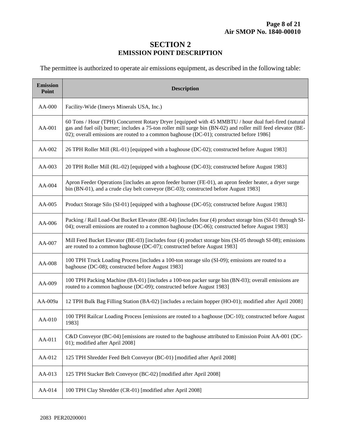## **SECTION 2 EMISSION POINT DESCRIPTION**

The permittee is authorized to operate air emissions equipment, as described in the following table:

| <b>Emission</b><br>Point | <b>Description</b>                                                                                                                                                                                                                                                                                               |  |  |  |
|--------------------------|------------------------------------------------------------------------------------------------------------------------------------------------------------------------------------------------------------------------------------------------------------------------------------------------------------------|--|--|--|
| $AA-000$                 | Facility-Wide (Imerys Minerals USA, Inc.)                                                                                                                                                                                                                                                                        |  |  |  |
| AA-001                   | 60 Tons / Hour (TPH) Concurrent Rotary Dryer [equipped with 45 MMBTU / hour dual fuel-fired (natural<br>gas and fuel oil) burner; includes a 75-ton roller mill surge bin (BN-02) and roller mill feed elevator (BE-<br>02); overall emissions are routed to a common baghouse (DC-01); constructed before 1986] |  |  |  |
| AA-002                   | 26 TPH Roller Mill (RL-01) [equipped with a baghouse (DC-02); constructed before August 1983]                                                                                                                                                                                                                    |  |  |  |
| $AA-003$                 | 20 TPH Roller Mill (RL-02) [equipped with a baghouse (DC-03); constructed before August 1983]                                                                                                                                                                                                                    |  |  |  |
| AA-004                   | Apron Feeder Operations [includes an apron feeder burner (FE-01), an apron feeder heater, a dryer surge<br>bin (BN-01), and a crude clay belt conveyor (BC-03); constructed before August 1983]                                                                                                                  |  |  |  |
| $AA-005$                 | Product Storage Silo (SI-01) [equipped with a baghouse (DC-05); constructed before August 1983]                                                                                                                                                                                                                  |  |  |  |
| AA-006                   | Packing / Rail Load-Out Bucket Elevator (BE-04) [includes four (4) product storage bins (SI-01 through SI-<br>04); overall emissions are routed to a common baghouse (DC-06); constructed before August 1983]                                                                                                    |  |  |  |
| AA-007                   | Mill Feed Bucket Elevator (BE-03) [includes four (4) product storage bins (SI-05 through SI-08); emissions<br>are routed to a common baghouse (DC-07); constructed before August 1983]                                                                                                                           |  |  |  |
| AA-008                   | 100 TPH Truck Loading Process [includes a 100-ton storage silo (SI-09); emissions are routed to a<br>baghouse (DC-08); constructed before August 1983]                                                                                                                                                           |  |  |  |
| AA-009                   | 100 TPH Packing Machine (BA-01) [includes a 100-ton packer surge bin (BN-03); overall emissions are<br>routed to a common baghouse (DC-09); constructed before August 1983]                                                                                                                                      |  |  |  |
| AA-009a                  | 12 TPH Bulk Bag Filling Station (BA-02) [includes a reclaim hopper (HO-01); modified after April 2008]                                                                                                                                                                                                           |  |  |  |
| AA-010                   | 100 TPH Railcar Loading Process [emissions are routed to a baghouse (DC-10); constructed before August<br>1983]                                                                                                                                                                                                  |  |  |  |
| AA-011                   | C&D Conveyor (BC-04) [emissions are routed to the baghouse attributed to Emission Point AA-001 (DC-<br>01); modified after April 2008]                                                                                                                                                                           |  |  |  |
| AA-012                   | 125 TPH Shredder Feed Belt Conveyor (BC-01) [modified after April 2008]                                                                                                                                                                                                                                          |  |  |  |
| AA-013                   | 125 TPH Stacker Belt Conveyor (BC-02) [modified after April 2008]                                                                                                                                                                                                                                                |  |  |  |
| AA-014                   | 100 TPH Clay Shredder (CR-01) [modified after April 2008]                                                                                                                                                                                                                                                        |  |  |  |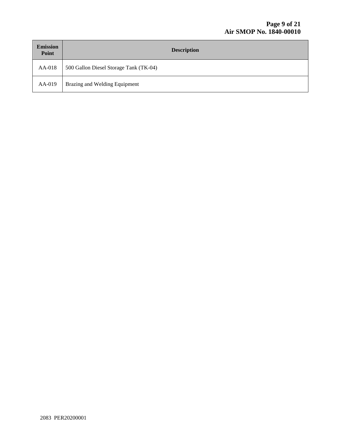| <b>Emission</b><br>Point | <b>Description</b>                     |
|--------------------------|----------------------------------------|
| AA-018                   | 500 Gallon Diesel Storage Tank (TK-04) |
| AA-019                   | Brazing and Welding Equipment          |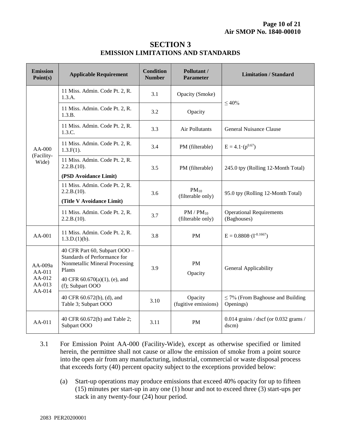## **SECTION 3 EMISSION LIMITATIONS AND STANDARDS**

| <b>Emission</b><br>Point(s)                     | <b>Applicable Requirement</b>                                                                                                                                  | <b>Condition</b><br><b>Number</b> | Pollutant /<br><b>Parameter</b>     | <b>Limitation / Standard</b>                       |  |
|-------------------------------------------------|----------------------------------------------------------------------------------------------------------------------------------------------------------------|-----------------------------------|-------------------------------------|----------------------------------------------------|--|
| $AA-000$<br>(Facility-<br>Wide)                 | 11 Miss. Admin. Code Pt. 2, R.<br>1.3.A.                                                                                                                       | 3.1                               | Opacity (Smoke)                     | $\leq 40\%$                                        |  |
|                                                 | 11 Miss. Admin. Code Pt. 2, R.<br>1.3.B.                                                                                                                       | 3.2                               | Opacity                             |                                                    |  |
|                                                 | 11 Miss. Admin. Code Pt. 2, R.<br>1.3.C.                                                                                                                       | 3.3                               | Air Pollutants                      | General Nuisance Clause                            |  |
|                                                 | 11 Miss. Admin. Code Pt. 2, R.<br>$1.3.F(1)$ .                                                                                                                 | 3.4                               | PM (filterable)                     | $E = 4.1 \cdot (p^{0.67})$                         |  |
|                                                 | 11 Miss. Admin. Code Pt. 2, R.<br>2.2.B.(10).                                                                                                                  | 3.5                               | PM (filterable)                     | 245.0 tpy (Rolling 12-Month Total)                 |  |
|                                                 | (PSD Avoidance Limit)                                                                                                                                          |                                   |                                     |                                                    |  |
|                                                 | 11 Miss. Admin. Code Pt. 2, R.<br>2.2.B.(10).                                                                                                                  | 3.6                               | $PM_{10}$<br>(filterable only)      | 95.0 tpy (Rolling 12-Month Total)                  |  |
|                                                 | (Title V Avoidance Limit)                                                                                                                                      |                                   |                                     |                                                    |  |
|                                                 | 11 Miss. Admin. Code Pt. 2, R.<br>2.2.B.(10).                                                                                                                  | 3.7                               | $PM / PM_{10}$<br>(filterable only) | <b>Operational Requirements</b><br>(Baghouses)     |  |
| AA-001                                          | 11 Miss. Admin. Code Pt. 2, R.<br>1.3.D.(1)(b).                                                                                                                | 3.8                               | <b>PM</b>                           | $E = 0.8808 \cdot (I^{-0.1667})$                   |  |
| AA-009a<br>AA-011<br>AA-012<br>AA-013<br>AA-014 | 40 CFR Part 60, Subpart OOO -<br>Standards of Performance for<br>Nonmetallic Mineral Processing<br>Plants<br>40 CFR 60.670(a)(1), (e), and<br>(f); Subpart OOO | 3.9                               | <b>PM</b><br>Opacity                | General Applicability                              |  |
|                                                 |                                                                                                                                                                |                                   |                                     |                                                    |  |
|                                                 | 40 CFR 60.672(b), (d), and<br>Table 3; Subpart OOO                                                                                                             | 3.10                              | Opacity<br>(fugitive emissions)     | $\leq$ 7% (From Baghouse and Building<br>Openings) |  |
| AA-011                                          | 40 CFR 60.672(b) and Table 2;<br>Subpart OOO                                                                                                                   | 3.11                              | <b>PM</b>                           | $0.014$ grains / dscf (or 0.032 grams /<br>dscm)   |  |

- 3.1 For Emission Point AA-000 (Facility-Wide), except as otherwise specified or limited herein, the permittee shall not cause or allow the emission of smoke from a point source into the open air from any manufacturing, industrial, commercial or waste disposal process that exceeds forty (40) percent opacity subject to the exceptions provided below:
	- (a) Start-up operations may produce emissions that exceed 40% opacity for up to fifteen (15) minutes per start-up in any one (1) hour and not to exceed three (3) start-ups per stack in any twenty-four (24) hour period.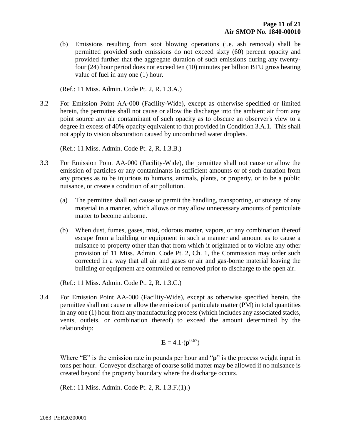(b) Emissions resulting from soot blowing operations (i.e. ash removal) shall be permitted provided such emissions do not exceed sixty (60) percent opacity and provided further that the aggregate duration of such emissions during any twentyfour (24) hour period does not exceed ten (10) minutes per billion BTU gross heating value of fuel in any one (1) hour.

(Ref.: 11 Miss. Admin. Code Pt. 2, R. 1.3.A.)

3.2 For Emission Point AA-000 (Facility-Wide), except as otherwise specified or limited herein, the permittee shall not cause or allow the discharge into the ambient air from any point source any air contaminant of such opacity as to obscure an observer's view to a degree in excess of 40% opacity equivalent to that provided in Condition 3.A.1. This shall not apply to vision obscuration caused by uncombined water droplets.

(Ref.: 11 Miss. Admin. Code Pt. 2, R. 1.3.B.)

- 3.3 For Emission Point AA-000 (Facility-Wide), the permittee shall not cause or allow the emission of particles or any contaminants in sufficient amounts or of such duration from any process as to be injurious to humans, animals, plants, or property, or to be a public nuisance, or create a condition of air pollution.
	- (a) The permittee shall not cause or permit the handling, transporting, or storage of any material in a manner, which allows or may allow unnecessary amounts of particulate matter to become airborne.
	- (b) When dust, fumes, gases, mist, odorous matter, vapors, or any combination thereof escape from a building or equipment in such a manner and amount as to cause a nuisance to property other than that from which it originated or to violate any other provision of 11 Miss. Admin. Code Pt. 2, Ch. 1, the Commission may order such corrected in a way that all air and gases or air and gas-borne material leaving the building or equipment are controlled or removed prior to discharge to the open air.

(Ref.: 11 Miss. Admin. Code Pt. 2, R. 1.3.C.)

3.4 For Emission Point AA-000 (Facility-Wide), except as otherwise specified herein, the permittee shall not cause or allow the emission of particulate matter (PM) in total quantities in any one (1) hour from any manufacturing process (which includes any associated stacks, vents, outlets, or combination thereof) to exceed the amount determined by the relationship:

$$
\mathbf{E} = 4.1 \cdot (\mathbf{p}^{0.67})
$$

Where "**E**" is the emission rate in pounds per hour and "**p**" is the process weight input in tons per hour. Conveyor discharge of coarse solid matter may be allowed if no nuisance is created beyond the property boundary where the discharge occurs.

(Ref.: 11 Miss. Admin. Code Pt. 2, R. 1.3.F.(1).)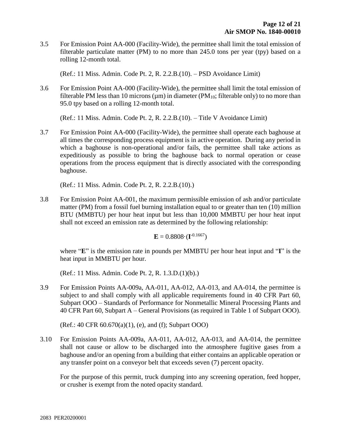3.5 For Emission Point AA-000 (Facility-Wide), the permittee shall limit the total emission of filterable particulate matter (PM) to no more than 245.0 tons per year (tpy) based on a rolling 12-month total.

(Ref.: 11 Miss. Admin. Code Pt. 2, R. 2.2.B.(10). – PSD Avoidance Limit)

3.6 For Emission Point AA-000 (Facility-Wide), the permittee shall limit the total emission of filterable PM less than 10 microns ( $\mu$ m) in diameter (PM<sub>10</sub>; filterable only) to no more than 95.0 tpy based on a rolling 12-month total.

(Ref.: 11 Miss. Admin. Code Pt. 2, R. 2.2.B.(10). – Title V Avoidance Limit)

3.7 For Emission Point AA-000 (Facility-Wide), the permittee shall operate each baghouse at all times the corresponding process equipment is in active operation. During any period in which a baghouse is non-operational and/or fails, the permittee shall take actions as expeditiously as possible to bring the baghouse back to normal operation or cease operations from the process equipment that is directly associated with the corresponding baghouse.

(Ref.: 11 Miss. Admin. Code Pt. 2, R. 2.2.B.(10).)

3.8 For Emission Point AA-001, the maximum permissible emission of ash and/or particulate matter (PM) from a fossil fuel burning installation equal to or greater than ten (10) million BTU (MMBTU) per hour heat input but less than 10,000 MMBTU per hour heat input shall not exceed an emission rate as determined by the following relationship:

 $E = 0.8808 \cdot (\mathbf{I}^{0.1667})$ 

where "**E**" is the emission rate in pounds per MMBTU per hour heat input and "**I**" is the heat input in MMBTU per hour.

(Ref.: 11 Miss. Admin. Code Pt. 2, R. 1.3.D.(1)(b).)

3.9 For Emission Points AA-009a, AA-011, AA-012, AA-013, and AA-014, the permittee is subject to and shall comply with all applicable requirements found in 40 CFR Part 60, Subpart OOO – Standards of Performance for Nonmetallic Mineral Processing Plants and 40 CFR Part 60, Subpart A – General Provisions (as required in Table 1 of Subpart OOO).

(Ref.: 40 CFR 60.670(a)(1), (e), and (f); Subpart OOO)

3.10 For Emission Points AA-009a, AA-011, AA-012, AA-013, and AA-014, the permittee shall not cause or allow to be discharged into the atmosphere fugitive gases from a baghouse and/or an opening from a building that either contains an applicable operation or any transfer point on a conveyor belt that exceeds seven (7) percent opacity.

For the purpose of this permit, truck dumping into any screening operation, feed hopper, or crusher is exempt from the noted opacity standard.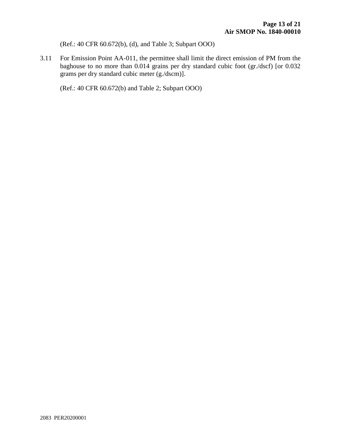(Ref.: 40 CFR 60.672(b), (d), and Table 3; Subpart OOO)

3.11 For Emission Point AA-011, the permittee shall limit the direct emission of PM from the baghouse to no more than 0.014 grains per dry standard cubic foot (gr./dscf) [or 0.032 grams per dry standard cubic meter (g./dscm)].

(Ref.: 40 CFR 60.672(b) and Table 2; Subpart OOO)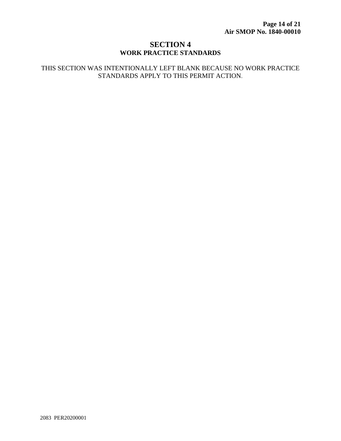## **SECTION 4 WORK PRACTICE STANDARDS**

#### THIS SECTION WAS INTENTIONALLY LEFT BLANK BECAUSE NO WORK PRACTICE STANDARDS APPLY TO THIS PERMIT ACTION.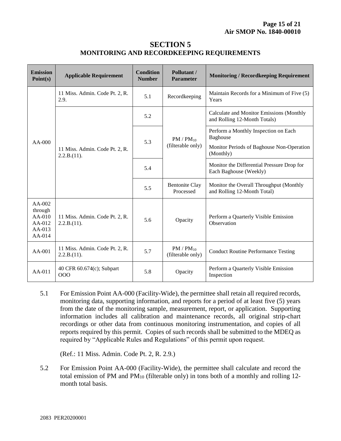## **SECTION 5 MONITORING AND RECORDKEEPING REQUIREMENTS**

| <b>Emission</b><br>Point(s)                                 | <b>Applicable Requirement</b>                 | <b>Condition</b><br><b>Number</b> | Pollutant /<br><b>Parameter</b>     | <b>Monitoring / Recordkeeping Requirement</b>                            |
|-------------------------------------------------------------|-----------------------------------------------|-----------------------------------|-------------------------------------|--------------------------------------------------------------------------|
| $AA-000$                                                    | 11 Miss. Admin. Code Pt. 2, R.<br>2.9.        | 5.1                               | Recordkeeping                       | Maintain Records for a Minimum of Five (5)<br>Years                      |
|                                                             | 11 Miss. Admin. Code Pt. 2, R.<br>2.2.B.(11). | 5.2                               | $PM / PM_{10}$<br>(filterable only) | Calculate and Monitor Emissions (Monthly<br>and Rolling 12-Month Totals) |
|                                                             |                                               | 5.3                               |                                     | Perform a Monthly Inspection on Each<br>Baghouse                         |
|                                                             |                                               |                                   |                                     | Monitor Periods of Baghouse Non-Operation<br>(Monthly)                   |
|                                                             |                                               | 5.4                               |                                     | Monitor the Differential Pressure Drop for<br>Each Baghouse (Weekly)     |
|                                                             |                                               | 5.5                               | <b>Bentonite Clay</b><br>Processed  | Monitor the Overall Throughput (Monthly<br>and Rolling 12-Month Total)   |
| AA-002<br>through<br>AA-010<br>AA-012<br>$AA-013$<br>AA-014 | 11 Miss. Admin. Code Pt. 2, R.<br>2.2.B.(11). | 5.6                               | Opacity                             | Perform a Quarterly Visible Emission<br>Observation                      |
| AA-001                                                      | 11 Miss. Admin. Code Pt. 2, R.<br>2.2.B.(11). | 5.7                               | $PM / PM_{10}$<br>(filterable only) | <b>Conduct Routine Performance Testing</b>                               |
| $AA-011$                                                    | 40 CFR 60.674(c); Subpart<br>000              | 5.8                               | Opacity                             | Perform a Quarterly Visible Emission<br>Inspection                       |

5.1 For Emission Point AA-000 (Facility-Wide), the permittee shall retain all required records, monitoring data, supporting information, and reports for a period of at least five (5) years from the date of the monitoring sample, measurement, report, or application. Supporting information includes all calibration and maintenance records, all original strip-chart recordings or other data from continuous monitoring instrumentation, and copies of all reports required by this permit. Copies of such records shall be submitted to the MDEQ as required by "Applicable Rules and Regulations" of this permit upon request.

(Ref.: 11 Miss. Admin. Code Pt. 2, R. 2.9.)

5.2 For Emission Point AA-000 (Facility-Wide), the permittee shall calculate and record the total emission of PM and PM<sup>10</sup> (filterable only) in tons both of a monthly and rolling 12 month total basis.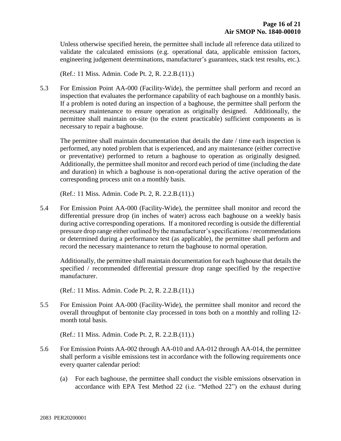Unless otherwise specified herein, the permittee shall include all reference data utilized to validate the calculated emissions (e.g. operational data, applicable emission factors, engineering judgement determinations, manufacturer's guarantees, stack test results, etc.).

(Ref.: 11 Miss. Admin. Code Pt. 2, R. 2.2.B.(11).)

5.3 For Emission Point AA-000 (Facility-Wide), the permittee shall perform and record an inspection that evaluates the performance capability of each baghouse on a monthly basis. If a problem is noted during an inspection of a baghouse, the permittee shall perform the necessary maintenance to ensure operation as originally designed. Additionally, the permittee shall maintain on-site (to the extent practicable) sufficient components as is necessary to repair a baghouse.

The permittee shall maintain documentation that details the date / time each inspection is performed, any noted problem that is experienced, and any maintenance (either corrective or preventative) performed to return a baghouse to operation as originally designed. Additionally, the permittee shall monitor and record each period of time (including the date and duration) in which a baghouse is non-operational during the active operation of the corresponding process unit on a monthly basis.

(Ref.: 11 Miss. Admin. Code Pt. 2, R. 2.2.B.(11).)

5.4 For Emission Point AA-000 (Facility-Wide), the permittee shall monitor and record the differential pressure drop (in inches of water) across each baghouse on a weekly basis during active corresponding operations. If a monitored recording is outside the differential pressure drop range either outlined by the manufacturer's specifications / recommendations or determined during a performance test (as applicable), the permittee shall perform and record the necessary maintenance to return the baghouse to normal operation.

Additionally, the permittee shall maintain documentation for each baghouse that details the specified / recommended differential pressure drop range specified by the respective manufacturer.

(Ref.: 11 Miss. Admin. Code Pt. 2, R. 2.2.B.(11).)

5.5 For Emission Point AA-000 (Facility-Wide), the permittee shall monitor and record the overall throughput of bentonite clay processed in tons both on a monthly and rolling 12 month total basis.

(Ref.: 11 Miss. Admin. Code Pt. 2, R. 2.2.B.(11).)

- 5.6 For Emission Points AA-002 through AA-010 and AA-012 through AA-014, the permittee shall perform a visible emissions test in accordance with the following requirements once every quarter calendar period:
	- (a) For each baghouse, the permittee shall conduct the visible emissions observation in accordance with EPA Test Method 22 (i.e. "Method 22") on the exhaust during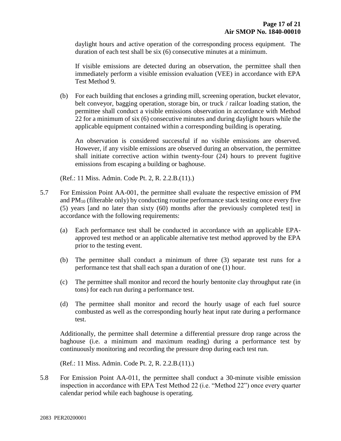daylight hours and active operation of the corresponding process equipment. The duration of each test shall be six (6) consecutive minutes at a minimum.

If visible emissions are detected during an observation, the permittee shall then immediately perform a visible emission evaluation (VEE) in accordance with EPA Test Method 9.

(b) For each building that encloses a grinding mill, screening operation, bucket elevator, belt conveyor, bagging operation, storage bin, or truck / railcar loading station, the permittee shall conduct a visible emissions observation in accordance with Method 22 for a minimum of six (6) consecutive minutes and during daylight hours while the applicable equipment contained within a corresponding building is operating.

An observation is considered successful if no visible emissions are observed. However, if any visible emissions are observed during an observation, the permittee shall initiate corrective action within twenty-four (24) hours to prevent fugitive emissions from escaping a building or baghouse.

(Ref.: 11 Miss. Admin. Code Pt. 2, R. 2.2.B.(11).)

- 5.7 For Emission Point AA-001, the permittee shall evaluate the respective emission of PM and  $PM_{10}$  (filterable only) by conducting routine performance stack testing once every five (5) years [and no later than sixty (60) months after the previously completed test] in accordance with the following requirements:
	- (a) Each performance test shall be conducted in accordance with an applicable EPAapproved test method or an applicable alternative test method approved by the EPA prior to the testing event.
	- (b) The permittee shall conduct a minimum of three (3) separate test runs for a performance test that shall each span a duration of one (1) hour.
	- (c) The permittee shall monitor and record the hourly bentonite clay throughput rate (in tons) for each run during a performance test.
	- (d) The permittee shall monitor and record the hourly usage of each fuel source combusted as well as the corresponding hourly heat input rate during a performance test.

Additionally, the permittee shall determine a differential pressure drop range across the baghouse (i.e. a minimum and maximum reading) during a performance test by continuously monitoring and recording the pressure drop during each test run.

(Ref.: 11 Miss. Admin. Code Pt. 2, R. 2.2.B.(11).)

5.8 For Emission Point AA-011, the permittee shall conduct a 30-minute visible emission inspection in accordance with EPA Test Method 22 (i.e. "Method 22") once every quarter calendar period while each baghouse is operating.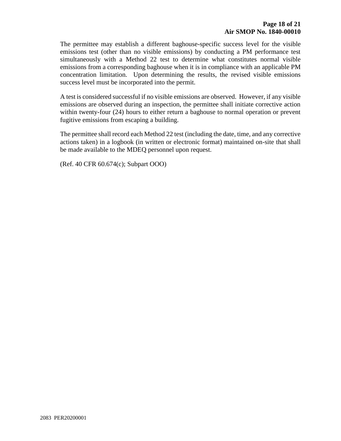The permittee may establish a different baghouse-specific success level for the visible emissions test (other than no visible emissions) by conducting a PM performance test simultaneously with a Method 22 test to determine what constitutes normal visible emissions from a corresponding baghouse when it is in compliance with an applicable PM concentration limitation. Upon determining the results, the revised visible emissions success level must be incorporated into the permit.

A test is considered successful if no visible emissions are observed. However, if any visible emissions are observed during an inspection, the permittee shall initiate corrective action within twenty-four (24) hours to either return a baghouse to normal operation or prevent fugitive emissions from escaping a building.

The permittee shall record each Method 22 test (including the date, time, and any corrective actions taken) in a logbook (in written or electronic format) maintained on-site that shall be made available to the MDEQ personnel upon request.

(Ref. 40 CFR 60.674(c); Subpart OOO)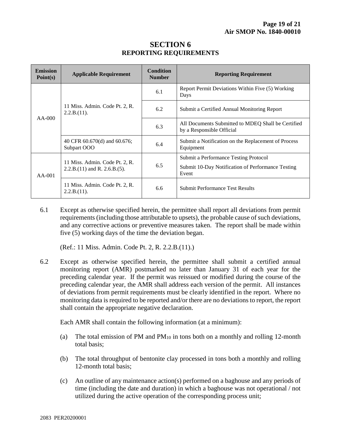| <b>Emission</b><br>Point(s) | <b>Applicable Requirement</b>                                       | <b>Condition</b><br><b>Number</b> | <b>Reporting Requirement</b>                                                    |
|-----------------------------|---------------------------------------------------------------------|-----------------------------------|---------------------------------------------------------------------------------|
| $AA-000$                    | 11 Miss. Admin. Code Pt. 2, R.<br>2.2.B.(11).                       | 6.1                               | Report Permit Deviations Within Five (5) Working<br>Days                        |
|                             |                                                                     | 6.2                               | Submit a Certified Annual Monitoring Report                                     |
|                             |                                                                     | 6.3                               | All Documents Submitted to MDEQ Shall be Certified<br>by a Responsible Official |
|                             | 40 CFR 60.670(d) and 60.676;<br>Subpart OOO                         | 6.4                               | Submit a Notification on the Replacement of Process<br>Equipment                |
| $AA-001$                    | 11 Miss. Admin. Code Pt. 2, R.<br>$2.2.B.(11)$ and R. $2.6.B.(5)$ . | 6.5                               | Submit a Performance Testing Protocol                                           |
|                             |                                                                     |                                   | Submit 10-Day Notification of Performance Testing<br>Event                      |
|                             | 11 Miss. Admin. Code Pt. 2, R.<br>2.2.B.(11).                       | 6.6                               | <b>Submit Performance Test Results</b>                                          |

## **SECTION 6 REPORTING REQUIREMENTS**

6.1 Except as otherwise specified herein, the permittee shall report all deviations from permit requirements (including those attributable to upsets), the probable cause of such deviations, and any corrective actions or preventive measures taken. The report shall be made within five (5) working days of the time the deviation began.

(Ref.: 11 Miss. Admin. Code Pt. 2, R. 2.2.B.(11).)

6.2 Except as otherwise specified herein, the permittee shall submit a certified annual monitoring report (AMR) postmarked no later than January 31 of each year for the preceding calendar year. If the permit was reissued or modified during the course of the preceding calendar year, the AMR shall address each version of the permit. All instances of deviations from permit requirements must be clearly identified in the report. Where no monitoring data is required to be reported and/or there are no deviations to report, the report shall contain the appropriate negative declaration.

Each AMR shall contain the following information (at a minimum):

- (a) The total emission of PM and  $PM_{10}$  in tons both on a monthly and rolling 12-month total basis;
- (b) The total throughput of bentonite clay processed in tons both a monthly and rolling 12-month total basis;
- (c) An outline of any maintenance action(s) performed on a baghouse and any periods of time (including the date and duration) in which a baghouse was not operational / not utilized during the active operation of the corresponding process unit;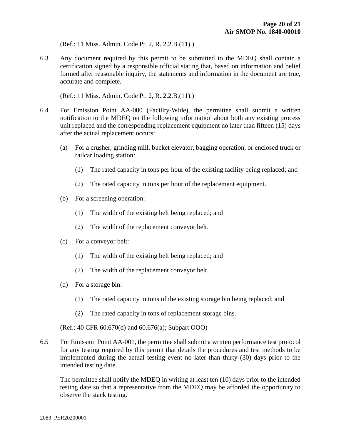(Ref.: 11 Miss. Admin. Code Pt. 2, R. 2.2.B.(11).)

6.3 Any document required by this permit to be submitted to the MDEQ shall contain a certification signed by a responsible official stating that, based on information and belief formed after reasonable inquiry, the statements and information in the document are true, accurate and complete.

(Ref.: 11 Miss. Admin. Code Pt. 2, R. 2.2.B.(11).)

- 6.4 For Emission Point AA-000 (Facility-Wide), the permittee shall submit a written notification to the MDEQ on the following information about both any existing process unit replaced and the corresponding replacement equipment no later than fifteen (15) days after the actual replacement occurs:
	- (a) For a crusher, grinding mill, bucket elevator, bagging operation, or enclosed truck or railcar loading station:
		- (1) The rated capacity in tons per hour of the existing facility being replaced; and
		- (2) The rated capacity in tons per hour of the replacement equipment.
	- (b) For a screening operation:
		- (1) The width of the existing belt being replaced; and
		- (2) The width of the replacement conveyor belt.
	- (c) For a conveyor belt:
		- (1) The width of the existing belt being replaced; and
		- (2) The width of the replacement conveyor belt.
	- (d) For a storage bin:
		- (1) The rated capacity in tons of the existing storage bin being replaced; and
		- (2) The rated capacity in tons of replacement storage bins.

(Ref.: 40 CFR 60.670(d) and 60.676(a); Subpart OOO)

6.5 For Emission Point AA-001, the permittee shall submit a written performance test protocol for any testing required by this permit that details the procedures and test methods to be implemented during the actual testing event no later than thirty (30) days prior to the intended testing date.

The permittee shall notify the MDEQ in writing at least ten (10) days prior to the intended testing date so that a representative from the MDEQ may be afforded the opportunity to observe the stack testing.